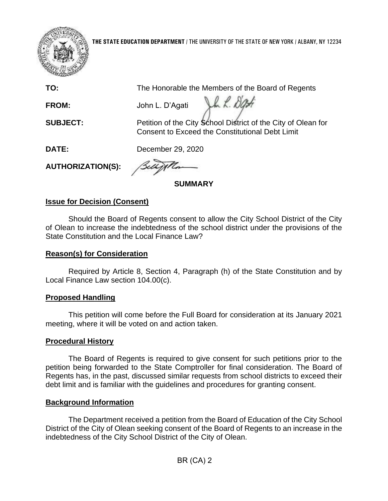

**THE STATE EDUCATION DEPARTMENT** / THE UNIVERSITY OF THE STATE OF NEW YORK / ALBANY, NY 12234

**TO:** The Honorable the Members of the Board of Regents

Jh L. Dati

**FROM:** John L. D'Agati

**SUBJECT:** 

Petition of the City School District of the City of Olean for Consent to Exceed the Constitutional Debt Limit

**DATE:** December 29, 2020

**AUTHORIZATION(S):** 

**SUMMARY** 

# **Issue for Decision (Consent)**

 Should the Board of Regents consent to allow the City School District of the City of Olean to increase the indebtedness of the school district under the provisions of the State Constitution and the Local Finance Law?

## **Reason(s) for Consideration**

 Required by Article 8, Section 4, Paragraph (h) of the State Constitution and by Local Finance Law section 104.00(c).

## **Proposed Handling**

This petition will come before the Full Board for consideration at its January 2021 meeting, where it will be voted on and action taken.

## **Procedural History**

 The Board of Regents is required to give consent for such petitions prior to the petition being forwarded to the State Comptroller for final consideration. The Board of Regents has, in the past, discussed similar requests from school districts to exceed their debt limit and is familiar with the guidelines and procedures for granting consent.

## **Background Information**

 The Department received a petition from the Board of Education of the City School District of the City of Olean seeking consent of the Board of Regents to an increase in the indebtedness of the City School District of the City of Olean.